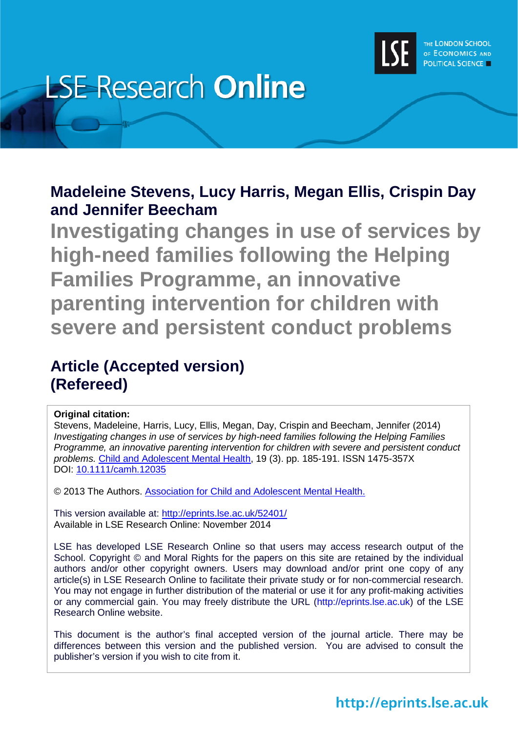

# **LSE Research Online**

# **Madeleine Stevens, Lucy Harris, Megan Ellis, Crispin Day and Jennifer Beecham**

**Investigating changes in use of services by high-need families following the Helping Families Programme, an innovative parenting intervention for children with severe and persistent conduct problems**

# **Article (Accepted version) (Refereed)**

# **Original citation:**

Stevens, Madeleine, Harris, Lucy, Ellis, Megan, Day, Crispin and Beecham, Jennifer (2014) *Investigating changes in use of services by high-need families following the Helping Families Programme, an innovative parenting intervention for children with severe and persistent conduct problems.* [Child and Adolescent Mental Health,](http://onlinelibrary.wiley.com/journal/10.1111/%28ISSN%291475-3588) 19 (3). pp. 185-191. ISSN 1475-357X DOI: [10.1111/camh.12035](http://dx.doi.org/10.1111/camh.12035)

© 2013 The Authors. [Association for Child and Adolescent Mental Health.](http://www.acamh.org/)

This version available at:<http://eprints.lse.ac.uk/52401/> Available in LSE Research Online: November 2014

LSE has developed LSE Research Online so that users may access research output of the School. Copyright © and Moral Rights for the papers on this site are retained by the individual authors and/or other copyright owners. Users may download and/or print one copy of any article(s) in LSE Research Online to facilitate their private study or for non-commercial research. You may not engage in further distribution of the material or use it for any profit-making activities or any commercial gain. You may freely distribute the URL (http://eprints.lse.ac.uk) of the LSE Research Online website.

This document is the author's final accepted version of the journal article. There may be differences between this version and the published version. You are advised to consult the publisher's version if you wish to cite from it.

# http://eprints.lse.ac.uk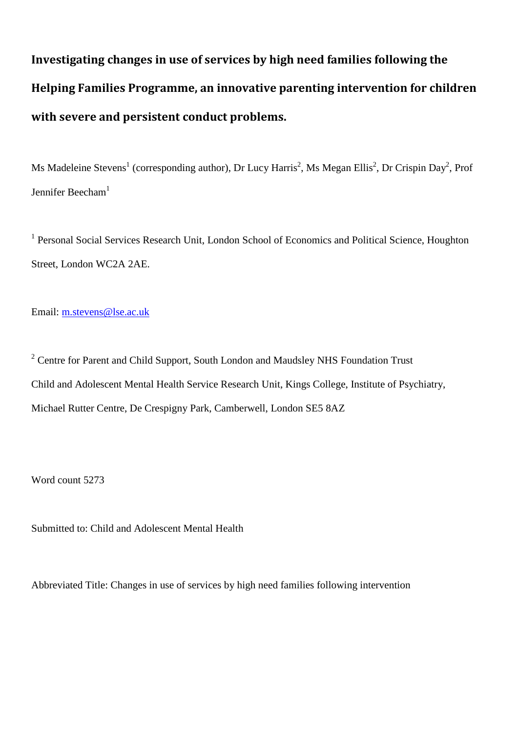**Investigating changes in use of services by high need families following the Helping Families Programme, an innovative parenting intervention for children with severe and persistent conduct problems.** 

Ms Madeleine Stevens<sup>1</sup> (corresponding author), Dr Lucy Harris<sup>2</sup>, Ms Megan Ellis<sup>2</sup>, Dr Crispin Day<sup>2</sup>, Prof Jennifer Beecham<sup>1</sup>

<sup>1</sup> Personal Social Services Research Unit, London School of Economics and Political Science, Houghton Street, London WC2A 2AE.

Email: [m.stevens@lse.ac.uk](mailto:m.stevens@lse.ac.uk)

<sup>2</sup> Centre for Parent and Child Support, South London and Maudsley NHS Foundation Trust Child and Adolescent Mental Health Service Research Unit, Kings College, Institute of Psychiatry, Michael Rutter Centre, De Crespigny Park, Camberwell, London SE5 8AZ

Word count 5273

Submitted to: Child and Adolescent Mental Health

Abbreviated Title: Changes in use of services by high need families following intervention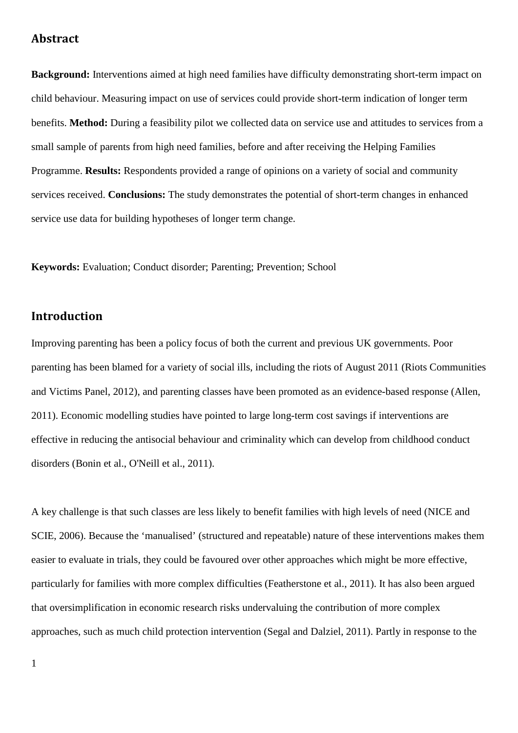# **Abstract**

**Background:** Interventions aimed at high need families have difficulty demonstrating short-term impact on child behaviour. Measuring impact on use of services could provide short-term indication of longer term benefits. **Method:** During a feasibility pilot we collected data on service use and attitudes to services from a small sample of parents from high need families, before and after receiving the Helping Families Programme. **Results:** Respondents provided a range of opinions on a variety of social and community services received. **Conclusions:** The study demonstrates the potential of short-term changes in enhanced service use data for building hypotheses of longer term change.

**Keywords:** Evaluation; Conduct disorder; Parenting; Prevention; School

# **Introduction**

Improving parenting has been a policy focus of both the current and previous UK governments. Poor parenting has been blamed for a variety of social ills, including the riots of August 2011 [\(Riots Communities](#page-17-0)  [and Victims Panel, 2012\)](#page-17-0), and parenting classes have been promoted as an evidence-based response [\(Allen,](#page-16-0)  [2011\)](#page-16-0). Economic modelling studies have pointed to large long-term cost savings if interventions are effective in reducing the antisocial behaviour and criminality which can develop from childhood conduct disorders [\(Bonin et al.,](#page-16-1) [O'Neill et al., 2011\)](#page-17-1).

A key challenge is that such classes are less likely to benefit families with high levels of need [\(NICE and](#page-17-2)  [SCIE, 2006\)](#page-17-2). Because the 'manualised' (structured and repeatable) nature of these interventions makes them easier to evaluate in trials, they could be favoured over other approaches which might be more effective, particularly for families with more complex difficulties [\(Featherstone et al., 2011\)](#page-17-3). It has also been argued that oversimplification in economic research risks undervaluing the contribution of more complex approaches, such as much child protection intervention [\(Segal and Dalziel, 2011\)](#page-17-4). Partly in response to the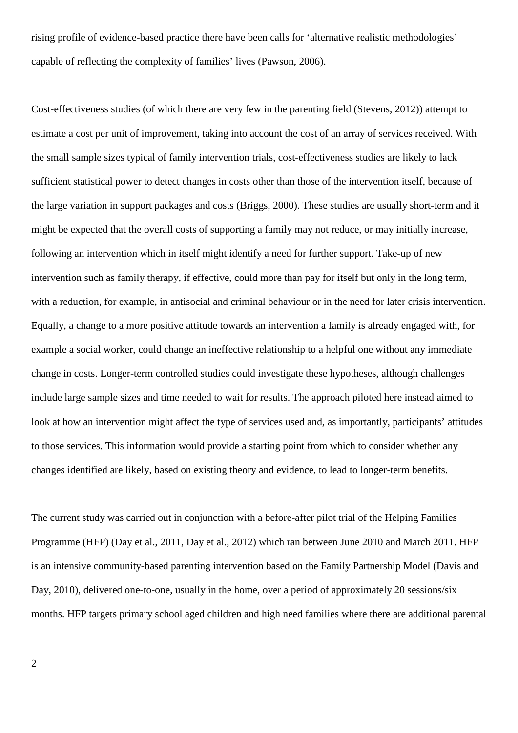rising profile of evidence-based practice there have been calls for 'alternative realistic methodologies' capable of reflecting the complexity of families' lives [\(Pawson, 2006\)](#page-17-5).

Cost-effectiveness studies (of which there are very few in the parenting field [\(Stevens, 2012\)](#page-17-6)) attempt to estimate a cost per unit of improvement, taking into account the cost of an array of services received. With the small sample sizes typical of family intervention trials, cost-effectiveness studies are likely to lack sufficient statistical power to detect changes in costs other than those of the intervention itself, because of the large variation in support packages and costs [\(Briggs, 2000\)](#page-17-7). These studies are usually short-term and it might be expected that the overall costs of supporting a family may not reduce, or may initially increase, following an intervention which in itself might identify a need for further support. Take-up of new intervention such as family therapy, if effective, could more than pay for itself but only in the long term, with a reduction, for example, in antisocial and criminal behaviour or in the need for later crisis intervention. Equally, a change to a more positive attitude towards an intervention a family is already engaged with, for example a social worker, could change an ineffective relationship to a helpful one without any immediate change in costs. Longer-term controlled studies could investigate these hypotheses, although challenges include large sample sizes and time needed to wait for results. The approach piloted here instead aimed to look at how an intervention might affect the type of services used and, as importantly, participants' attitudes to those services. This information would provide a starting point from which to consider whether any changes identified are likely, based on existing theory and evidence, to lead to longer-term benefits.

The current study was carried out in conjunction with a before-after pilot trial of the Helping Families Programme (HFP) [\(Day et al., 2011,](#page-17-8) [Day et al., 2012\)](#page-17-9) which ran between June 2010 and March 2011. HFP is an intensive community-based parenting intervention based on the Family Partnership Model [\(Davis and](#page-17-10)  [Day, 2010\)](#page-17-10), delivered one-to-one, usually in the home, over a period of approximately 20 sessions/six months. HFP targets primary school aged children and high need families where there are additional parental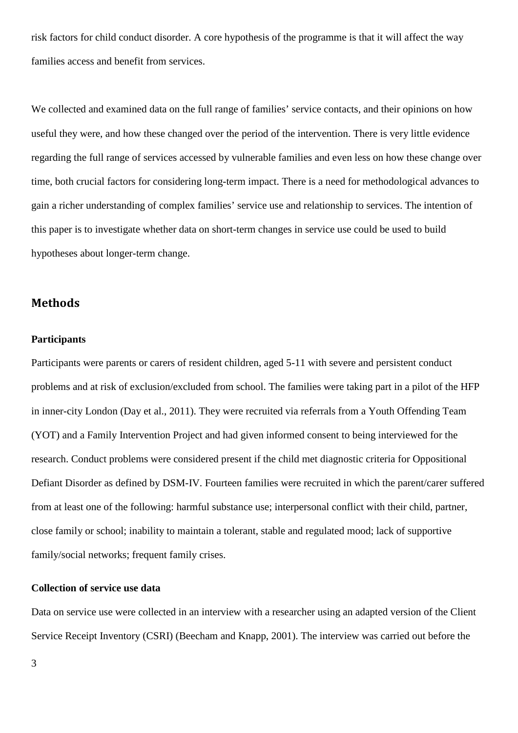risk factors for child conduct disorder. A core hypothesis of the programme is that it will affect the way families access and benefit from services.

We collected and examined data on the full range of families' service contacts, and their opinions on how useful they were, and how these changed over the period of the intervention. There is very little evidence regarding the full range of services accessed by vulnerable families and even less on how these change over time, both crucial factors for considering long-term impact. There is a need for methodological advances to gain a richer understanding of complex families' service use and relationship to services. The intention of this paper is to investigate whether data on short-term changes in service use could be used to build hypotheses about longer-term change.

# **Methods**

# **Participants**

Participants were parents or carers of resident children, aged 5-11 with severe and persistent conduct problems and at risk of exclusion/excluded from school. The families were taking part in a pilot of the HFP in inner-city London [\(Day et al., 2011\)](#page-17-8). They were recruited via referrals from a Youth Offending Team (YOT) and a Family Intervention Project and had given informed consent to being interviewed for the research. Conduct problems were considered present if the child met diagnostic criteria for Oppositional Defiant Disorder as defined by DSM-IV. Fourteen families were recruited in which the parent/carer suffered from at least one of the following: harmful substance use; interpersonal conflict with their child, partner, close family or school; inability to maintain a tolerant, stable and regulated mood; lack of supportive family/social networks; frequent family crises.

## **Collection of service use data**

Data on service use were collected in an interview with a researcher using an adapted version of the Client Service Receipt Inventory (CSRI) [\(Beecham and Knapp, 2001\)](#page-16-2). The interview was carried out before the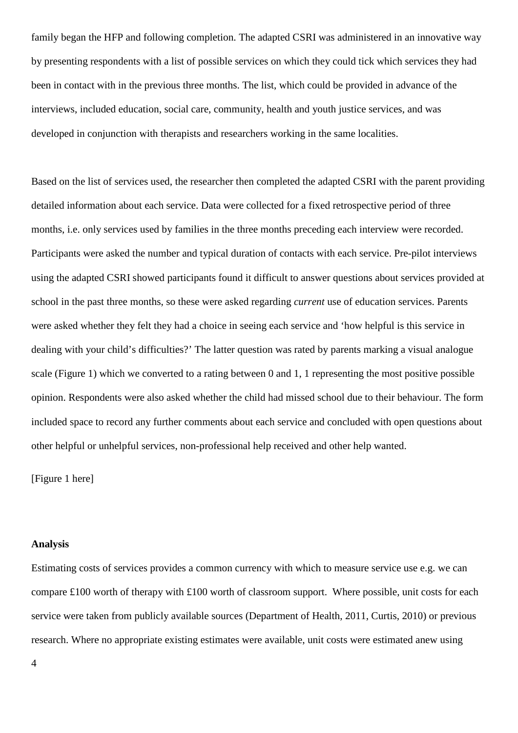family began the HFP and following completion. The adapted CSRI was administered in an innovative way by presenting respondents with a list of possible services on which they could tick which services they had been in contact with in the previous three months. The list, which could be provided in advance of the interviews, included education, social care, community, health and youth justice services, and was developed in conjunction with therapists and researchers working in the same localities.

Based on the list of services used, the researcher then completed the adapted CSRI with the parent providing detailed information about each service. Data were collected for a fixed retrospective period of three months, i.e. only services used by families in the three months preceding each interview were recorded. Participants were asked the number and typical duration of contacts with each service. Pre-pilot interviews using the adapted CSRI showed participants found it difficult to answer questions about services provided at school in the past three months, so these were asked regarding *current* use of education services. Parents were asked whether they felt they had a choice in seeing each service and 'how helpful is this service in dealing with your child's difficulties?' The latter question was rated by parents marking a visual analogue scale (Figure 1) which we converted to a rating between 0 and 1, 1 representing the most positive possible opinion. Respondents were also asked whether the child had missed school due to their behaviour. The form included space to record any further comments about each service and concluded with open questions about other helpful or unhelpful services, non-professional help received and other help wanted.

[Figure 1 here]

#### **Analysis**

Estimating costs of services provides a common currency with which to measure service use e.g. we can compare £100 worth of therapy with £100 worth of classroom support. Where possible, unit costs for each service were taken from publicly available sources [\(Department of Health, 2011,](#page-17-11) [Curtis, 2010\)](#page-17-12) or previous research. Where no appropriate existing estimates were available, unit costs were estimated anew using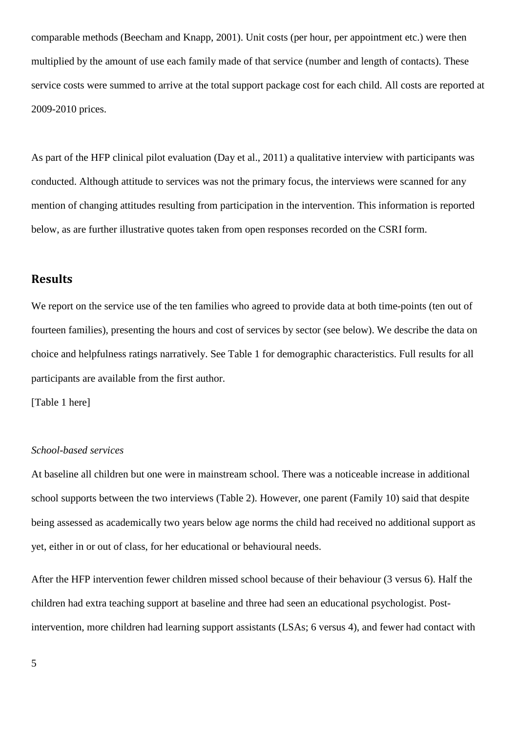comparable methods [\(Beecham and Knapp, 2001\)](#page-16-2). Unit costs (per hour, per appointment etc.) were then multiplied by the amount of use each family made of that service (number and length of contacts). These service costs were summed to arrive at the total support package cost for each child. All costs are reported at 2009-2010 prices.

As part of the HFP clinical pilot evaluation [\(Day et al., 2011\)](#page-17-8) a qualitative interview with participants was conducted. Although attitude to services was not the primary focus, the interviews were scanned for any mention of changing attitudes resulting from participation in the intervention. This information is reported below, as are further illustrative quotes taken from open responses recorded on the CSRI form.

## **Results**

We report on the service use of the ten families who agreed to provide data at both time-points (ten out of fourteen families), presenting the hours and cost of services by sector (see below). We describe the data on choice and helpfulness ratings narratively. See Table 1 for demographic characteristics. Full results for all participants are available from the first author.

[Table 1 here]

#### *School-based services*

At baseline all children but one were in mainstream school. There was a noticeable increase in additional school supports between the two interviews (Table 2). However, one parent (Family 10) said that despite being assessed as academically two years below age norms the child had received no additional support as yet, either in or out of class, for her educational or behavioural needs.

After the HFP intervention fewer children missed school because of their behaviour (3 versus 6). Half the children had extra teaching support at baseline and three had seen an educational psychologist. Postintervention, more children had learning support assistants (LSAs; 6 versus 4), and fewer had contact with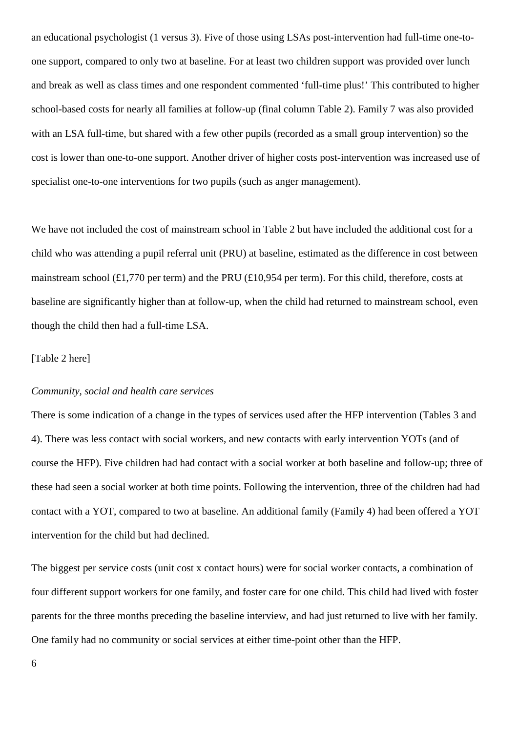an educational psychologist (1 versus 3). Five of those using LSAs post-intervention had full-time one-toone support, compared to only two at baseline. For at least two children support was provided over lunch and break as well as class times and one respondent commented 'full-time plus!' This contributed to higher school-based costs for nearly all families at follow-up (final column Table 2). Family 7 was also provided with an LSA full-time, but shared with a few other pupils (recorded as a small group intervention) so the cost is lower than one-to-one support. Another driver of higher costs post-intervention was increased use of specialist one-to-one interventions for two pupils (such as anger management).

We have not included the cost of mainstream school in [Table 2](#page-15-0) but have included the additional cost for a child who was attending a pupil referral unit (PRU) at baseline, estimated as the difference in cost between mainstream school (£1,770 per term) and the PRU (£10,954 per term). For this child, therefore, costs at baseline are significantly higher than at follow-up, when the child had returned to mainstream school, even though the child then had a full-time LSA.

#### [Table 2 here]

#### *Community, social and health care services*

There is some indication of a change in the types of services used after the HFP intervention (Tables 3 and 4). There was less contact with social workers, and new contacts with early intervention YOTs (and of course the HFP). Five children had had contact with a social worker at both baseline and follow-up; three of these had seen a social worker at both time points. Following the intervention, three of the children had had contact with a YOT, compared to two at baseline. An additional family (Family 4) had been offered a YOT intervention for the child but had declined.

The biggest per service costs (unit cost x contact hours) were for social worker contacts, a combination of four different support workers for one family, and foster care for one child. This child had lived with foster parents for the three months preceding the baseline interview, and had just returned to live with her family. One family had no community or social services at either time-point other than the HFP.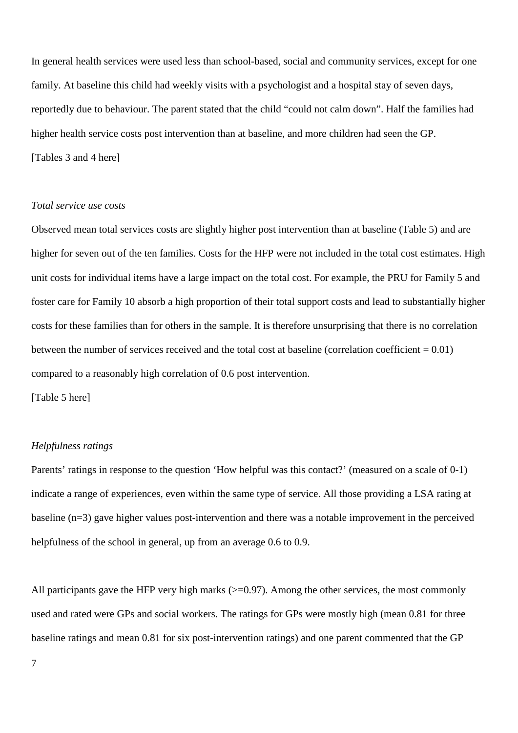In general health services were used less than school-based, social and community services, except for one family. At baseline this child had weekly visits with a psychologist and a hospital stay of seven days, reportedly due to behaviour. The parent stated that the child "could not calm down". Half the families had higher health service costs post intervention than at baseline, and more children had seen the GP. [Tables 3 and 4 here]

#### *Total service use costs*

Observed mean total services costs are slightly higher post intervention than at baseline (Table 5) and are higher for seven out of the ten families. Costs for the HFP were not included in the total cost estimates. High unit costs for individual items have a large impact on the total cost. For example, the PRU for Family 5 and foster care for Family 10 absorb a high proportion of their total support costs and lead to substantially higher costs for these families than for others in the sample. It is therefore unsurprising that there is no correlation between the number of services received and the total cost at baseline (correlation coefficient  $= 0.01$ ) compared to a reasonably high correlation of 0.6 post intervention.

[Table 5 here]

#### *Helpfulness ratings*

Parents' ratings in response to the question 'How helpful was this contact?' (measured on a scale of 0-1) indicate a range of experiences, even within the same type of service. All those providing a LSA rating at baseline (n=3) gave higher values post-intervention and there was a notable improvement in the perceived helpfulness of the school in general, up from an average 0.6 to 0.9.

All participants gave the HFP very high marks  $(>=0.97)$ . Among the other services, the most commonly used and rated were GPs and social workers. The ratings for GPs were mostly high (mean 0.81 for three baseline ratings and mean 0.81 for six post-intervention ratings) and one parent commented that the GP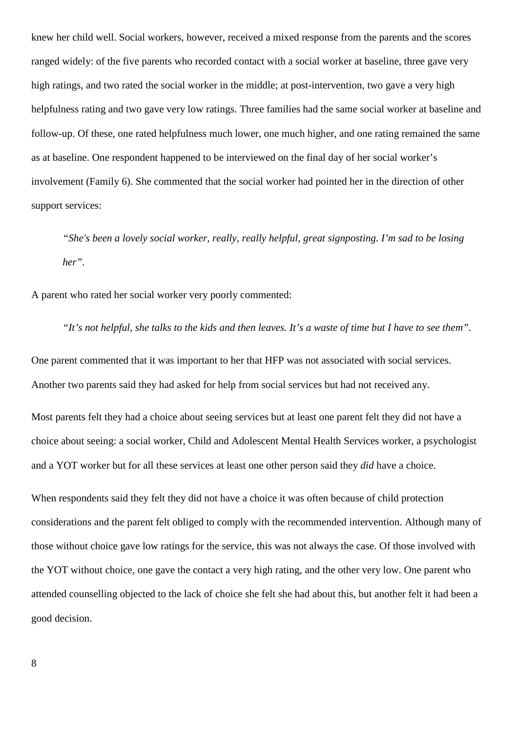knew her child well. Social workers, however, received a mixed response from the parents and the scores ranged widely: of the five parents who recorded contact with a social worker at baseline, three gave very high ratings, and two rated the social worker in the middle; at post-intervention, two gave a very high helpfulness rating and two gave very low ratings. Three families had the same social worker at baseline and follow-up. Of these, one rated helpfulness much lower, one much higher, and one rating remained the same as at baseline. One respondent happened to be interviewed on the final day of her social worker's involvement (Family 6). She commented that the social worker had pointed her in the direction of other support services:

*"She's been a lovely social worker, really, really helpful, great signposting. I'm sad to be losing her".* 

*"It's not helpful, she talks to the kids and then leaves. It's a waste of time but I have to see them".* 

A parent who rated her social worker very poorly commented:

One parent commented that it was important to her that HFP was not associated with social services. Another two parents said they had asked for help from social services but had not received any.

Most parents felt they had a choice about seeing services but at least one parent felt they did not have a choice about seeing: a social worker, Child and Adolescent Mental Health Services worker, a psychologist and a YOT worker but for all these services at least one other person said they *did* have a choice.

When respondents said they felt they did not have a choice it was often because of child protection considerations and the parent felt obliged to comply with the recommended intervention. Although many of those without choice gave low ratings for the service, this was not always the case. Of those involved with the YOT without choice, one gave the contact a very high rating, and the other very low. One parent who attended counselling objected to the lack of choice she felt she had about this, but another felt it had been a good decision.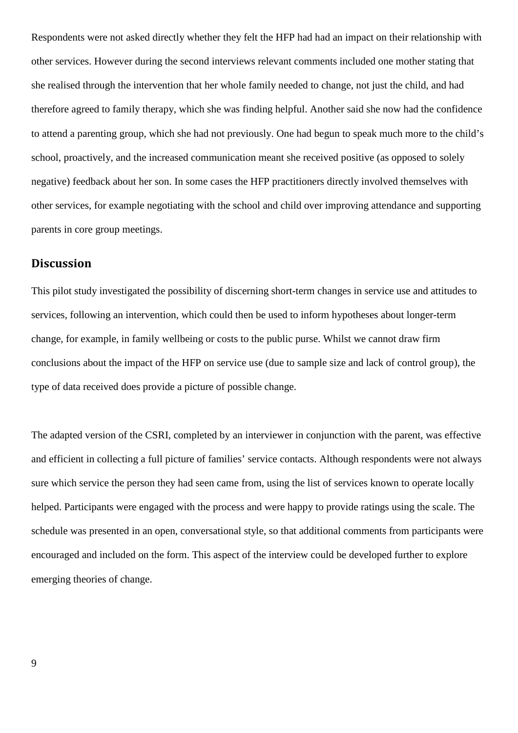Respondents were not asked directly whether they felt the HFP had had an impact on their relationship with other services. However during the second interviews relevant comments included one mother stating that she realised through the intervention that her whole family needed to change, not just the child, and had therefore agreed to family therapy, which she was finding helpful. Another said she now had the confidence to attend a parenting group, which she had not previously. One had begun to speak much more to the child's school, proactively, and the increased communication meant she received positive (as opposed to solely negative) feedback about her son. In some cases the HFP practitioners directly involved themselves with other services, for example negotiating with the school and child over improving attendance and supporting parents in core group meetings.

# **Discussion**

This pilot study investigated the possibility of discerning short-term changes in service use and attitudes to services, following an intervention, which could then be used to inform hypotheses about longer-term change, for example, in family wellbeing or costs to the public purse. Whilst we cannot draw firm conclusions about the impact of the HFP on service use (due to sample size and lack of control group), the type of data received does provide a picture of possible change.

The adapted version of the CSRI, completed by an interviewer in conjunction with the parent, was effective and efficient in collecting a full picture of families' service contacts. Although respondents were not always sure which service the person they had seen came from, using the list of services known to operate locally helped. Participants were engaged with the process and were happy to provide ratings using the scale. The schedule was presented in an open, conversational style, so that additional comments from participants were encouraged and included on the form. This aspect of the interview could be developed further to explore emerging theories of change.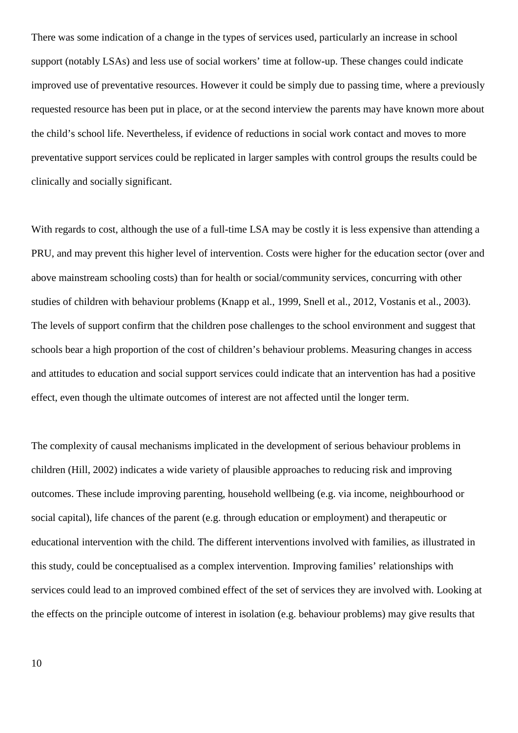There was some indication of a change in the types of services used, particularly an increase in school support (notably LSAs) and less use of social workers' time at follow-up. These changes could indicate improved use of preventative resources. However it could be simply due to passing time, where a previously requested resource has been put in place, or at the second interview the parents may have known more about the child's school life. Nevertheless, if evidence of reductions in social work contact and moves to more preventative support services could be replicated in larger samples with control groups the results could be clinically and socially significant.

With regards to cost, although the use of a full-time LSA may be costly it is less expensive than attending a PRU, and may prevent this higher level of intervention. Costs were higher for the education sector (over and above mainstream schooling costs) than for health or social/community services, concurring with other studies of children with behaviour problems [\(Knapp et al., 1999,](#page-17-13) [Snell et al., 2012,](#page-17-14) [Vostanis et al., 2003\)](#page-18-0). The levels of support confirm that the children pose challenges to the school environment and suggest that schools bear a high proportion of the cost of children's behaviour problems. Measuring changes in access and attitudes to education and social support services could indicate that an intervention has had a positive effect, even though the ultimate outcomes of interest are not affected until the longer term.

The complexity of causal mechanisms implicated in the development of serious behaviour problems in children [\(Hill, 2002\)](#page-17-15) indicates a wide variety of plausible approaches to reducing risk and improving outcomes. These include improving parenting, household wellbeing (e.g. via income, neighbourhood or social capital), life chances of the parent (e.g. through education or employment) and therapeutic or educational intervention with the child. The different interventions involved with families, as illustrated in this study, could be conceptualised as a complex intervention. Improving families' relationships with services could lead to an improved combined effect of the set of services they are involved with. Looking at the effects on the principle outcome of interest in isolation (e.g. behaviour problems) may give results that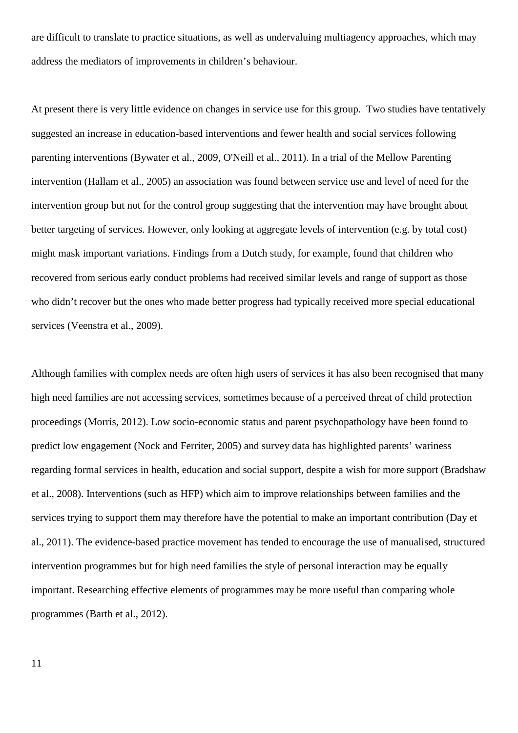are difficult to translate to practice situations, as well as undervaluing multiagency approaches, which may address the mediators of improvements in children's behaviour.

At present there is very little evidence on changes in service use for this group. Two studies have tentatively suggested an increase in education-based interventions and fewer health and social services following parenting interventions [\(Bywater et al., 2009,](#page-17-16) [O'Neill et al., 2011\)](#page-17-1). In a trial of the Mellow Parenting intervention [\(Hallam et al., 2005\)](#page-17-17) an association was found between service use and level of need for the intervention group but not for the control group suggesting that the intervention may have brought about better targeting of services. However, only looking at aggregate levels of intervention (e.g. by total cost) might mask important variations. Findings from a Dutch study, for example, found that children who recovered from serious early conduct problems had received similar levels and range of support as those who didn't recover but the ones who made better progress had typically received more special educational services [\(Veenstra et al., 2009\)](#page-18-1).

Although families with complex needs are often high users of services it has also been recognised that many high need families are not accessing services, sometimes because of a perceived threat of child protection proceedings [\(Morris, 2012\)](#page-17-18). Low socio-economic status and parent psychopathology have been found to predict low engagement [\(Nock and Ferriter, 2005\)](#page-17-19) and survey data has highlighted parents' wariness regarding formal services in health, education and social support, despite a wish for more support [\(Bradshaw](#page-17-20)  [et al., 2008\)](#page-17-20). Interventions (such as HFP) which aim to improve relationships between families and the services trying to support them may therefore have the potential to make an important contribution [\(Day et](#page-17-8)  [al., 2011\)](#page-17-8). The evidence-based practice movement has tended to encourage the use of manualised, structured intervention programmes but for high need families the style of personal interaction may be equally important. Researching effective elements of programmes may be more useful than comparing whole programmes [\(Barth et al., 2012\)](#page-16-3).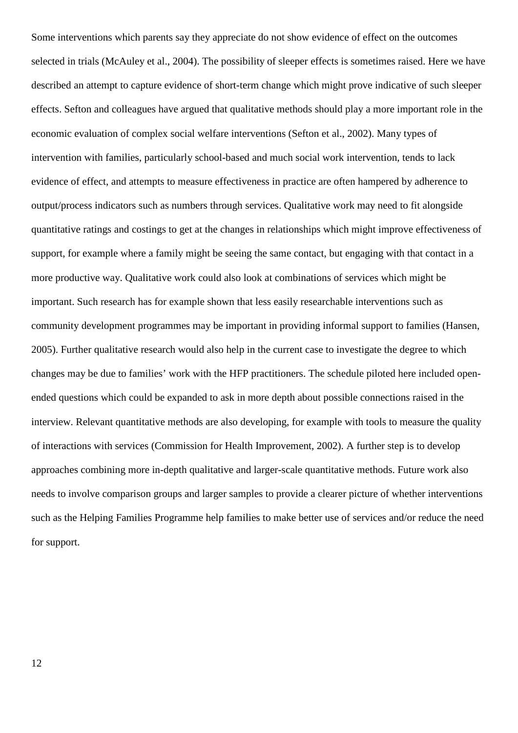Some interventions which parents say they appreciate do not show evidence of effect on the outcomes selected in trials [\(McAuley et al., 2004\)](#page-17-21). The possibility of sleeper effects is sometimes raised. Here we have described an attempt to capture evidence of short-term change which might prove indicative of such sleeper effects. Sefton and colleagues have argued that qualitative methods should play a more important role in the economic evaluation of complex social welfare interventions [\(Sefton et al., 2002\)](#page-17-22). Many types of intervention with families, particularly school-based and much social work intervention, tends to lack evidence of effect, and attempts to measure effectiveness in practice are often hampered by adherence to output/process indicators such as numbers through services. Qualitative work may need to fit alongside quantitative ratings and costings to get at the changes in relationships which might improve effectiveness of support, for example where a family might be seeing the same contact, but engaging with that contact in a more productive way. Qualitative work could also look at combinations of services which might be important. Such research has for example shown that less easily researchable interventions such as community development programmes may be important in providing informal support to families [\(Hansen,](#page-17-23)  [2005\)](#page-17-23). Further qualitative research would also help in the current case to investigate the degree to which changes may be due to families' work with the HFP practitioners. The schedule piloted here included openended questions which could be expanded to ask in more depth about possible connections raised in the interview. Relevant quantitative methods are also developing, for example with tools to measure the quality of interactions with services (Commission for Health Improvement, 2002). A further step is to develop approaches combining more in-depth qualitative and larger-scale quantitative methods. Future work also needs to involve comparison groups and larger samples to provide a clearer picture of whether interventions such as the Helping Families Programme help families to make better use of services and/or reduce the need for support.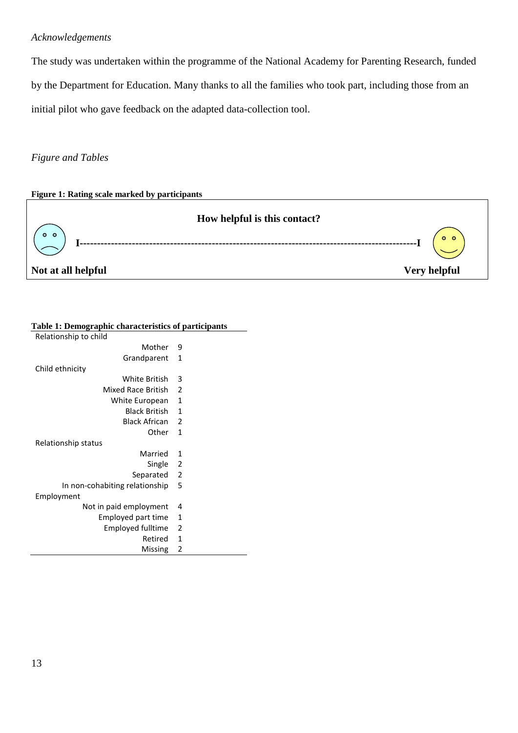### *Acknowledgements*

The study was undertaken within the programme of the National Academy for Parenting Research, funded by the Department for Education. Many thanks to all the families who took part, including those from an initial pilot who gave feedback on the adapted data-collection tool.

#### *Figure and Tables*



| rabic 1. Deniographie enaracteristics or participa |                          |
|----------------------------------------------------|--------------------------|
| Relationship to child                              |                          |
| Mother                                             | 9                        |
| Grandparent                                        | 1                        |
| Child ethnicity                                    |                          |
| White British                                      | 3                        |
| Mixed Race British                                 | 2                        |
| White European                                     | 1                        |
| <b>Black British</b>                               | 1                        |
| <b>Black African</b>                               | 2                        |
| Other                                              | 1                        |
| Relationship status                                |                          |
| Married                                            | 1                        |
| Single                                             | $\overline{\phantom{0}}$ |
| Separated                                          | $\overline{2}$           |
| In non-cohabiting relationship                     | 5                        |
| Employment                                         |                          |
| Not in paid employment                             | 4                        |
| Employed part time                                 | 1                        |
| Employed fulltime                                  | 2                        |
| Retired                                            | 1                        |
| Missing                                            | 2                        |
|                                                    |                          |

#### **Table 1: Demographic characteristics of participants**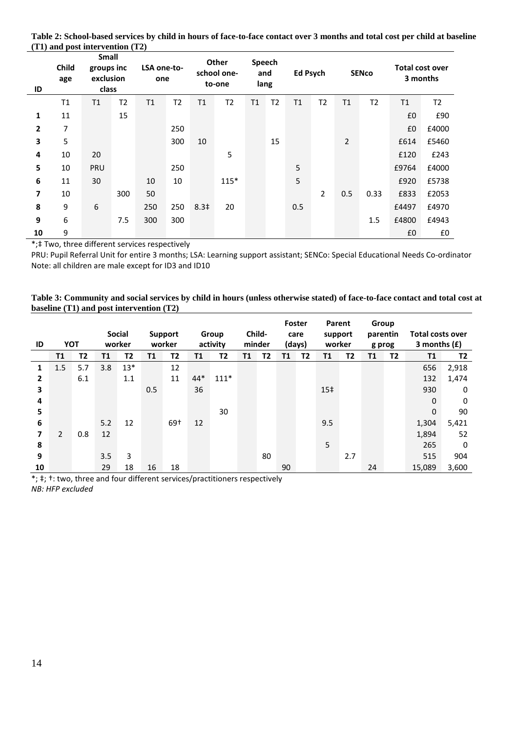| ID | Child<br>age | <b>Small</b><br>groups inc<br>exclusion<br>class |                |     | LSA one-to-<br>one |                  | Other<br>Speech<br>school one-<br>and<br>lang<br>to-one |    | <b>Ed Psych</b> |     | <b>SENco</b>   |                |                | <b>Total cost over</b><br>3 months |       |
|----|--------------|--------------------------------------------------|----------------|-----|--------------------|------------------|---------------------------------------------------------|----|-----------------|-----|----------------|----------------|----------------|------------------------------------|-------|
|    | T1           | T <sub>1</sub>                                   | T <sub>2</sub> | T1  | T <sub>2</sub>     | T1               | T <sub>2</sub>                                          | T1 | Τ2              | T1  | T <sub>2</sub> | T1             | T <sub>2</sub> | T1                                 | T2    |
| 1  | 11           |                                                  | 15             |     |                    |                  |                                                         |    |                 |     |                |                |                | £0                                 | £90   |
| 2  | 7            |                                                  |                |     | 250                |                  |                                                         |    |                 |     |                |                |                | £0                                 | £4000 |
| 3  | 5            |                                                  |                |     | 300                | 10               |                                                         |    | 15              |     |                | $\overline{2}$ |                | £614                               | £5460 |
| 4  | 10           | 20                                               |                |     |                    |                  | 5                                                       |    |                 |     |                |                |                | £120                               | £243  |
| 5  | 10           | PRU                                              |                |     | 250                |                  |                                                         |    |                 | 5   |                |                |                | £9764                              | £4000 |
| 6  | 11           | 30                                               |                | 10  | 10                 |                  | $115*$                                                  |    |                 | 5   |                |                |                | £920                               | £5738 |
| 7  | 10           |                                                  | 300            | 50  |                    |                  |                                                         |    |                 |     | $\overline{2}$ | 0.5            | 0.33           | £833                               | £2053 |
| 8  | 9            | 6                                                |                | 250 | 250                | 8.3 <sup>‡</sup> | 20                                                      |    |                 | 0.5 |                |                |                | £4497                              | £4970 |
| 9  | 6            |                                                  | 7.5            | 300 | 300                |                  |                                                         |    |                 |     |                |                | 1.5            | £4800                              | £4943 |
| 10 | 9            |                                                  |                |     |                    |                  |                                                         |    |                 |     |                |                |                | £0                                 | £0    |

<span id="page-15-0"></span>**Table 2: School-based services by child in hours of face-to-face contact over 3 months and total cost per child at baseline (T1) and post intervention (T2)**

\*;‡ Two, three different services respectively

PRU: Pupil Referral Unit for entire 3 months; LSA: Learning support assistant; SENCo: Special Educational Needs Co-ordinator Note: all children are male except for ID3 and ID10

| Table 3: Community and social services by child in hours (unless otherwise stated) of face-to-face contact and total cost at |  |
|------------------------------------------------------------------------------------------------------------------------------|--|
| baseline $(T1)$ and post intervention $(T2)$                                                                                 |  |

| ID                      | <b>YOT</b> |     |     | <b>Social</b><br>worker |     | <b>Support</b><br>worker |           | Group<br>activity |    | Child-<br>minder |    | Foster<br>care<br>(days) | Parent<br>support<br>worker |     | Group<br>parentin<br>g prog |    | <b>Total costs over</b><br>3 months $(f)$ |                |
|-------------------------|------------|-----|-----|-------------------------|-----|--------------------------|-----------|-------------------|----|------------------|----|--------------------------|-----------------------------|-----|-----------------------------|----|-------------------------------------------|----------------|
|                         | <b>T1</b>  | T2  | T1  | T2                      | T1  | Τ2                       | <b>T1</b> | T <sub>2</sub>    | Τ1 | T2               | Τ1 | T <sub>2</sub>           | <b>T1</b>                   | T2  | <b>T1</b>                   | T2 | T1                                        | T <sub>2</sub> |
| 1                       | 1.5        | 5.7 | 3.8 | $13*$                   |     | 12                       |           |                   |    |                  |    |                          |                             |     |                             |    | 656                                       | 2,918          |
| 2                       |            | 6.1 |     | 1.1                     |     | 11                       | 44*       | $111*$            |    |                  |    |                          |                             |     |                             |    | 132                                       | 1,474          |
| 3                       |            |     |     |                         | 0.5 |                          | 36        |                   |    |                  |    |                          | 15‡                         |     |                             |    | 930                                       | 0              |
| 4                       |            |     |     |                         |     |                          |           |                   |    |                  |    |                          |                             |     |                             |    | $\mathbf 0$                               | 0              |
| 5                       |            |     |     |                         |     |                          |           | 30                |    |                  |    |                          |                             |     |                             |    | $\mathbf 0$                               | 90             |
| 6                       |            |     | 5.2 | 12                      |     | 69+                      | 12        |                   |    |                  |    |                          | 9.5                         |     |                             |    | 1,304                                     | 5,421          |
| $\overline{\mathbf{z}}$ | 2          | 0.8 | 12  |                         |     |                          |           |                   |    |                  |    |                          |                             |     |                             |    | 1,894                                     | 52             |
| 8                       |            |     |     |                         |     |                          |           |                   |    |                  |    |                          | 5                           |     |                             |    | 265                                       | 0              |
| 9                       |            |     | 3.5 | 3                       |     |                          |           |                   |    | 80               |    |                          |                             | 2.7 |                             |    | 515                                       | 904            |
| 10                      |            |     | 29  | 18                      | 16  | 18                       |           |                   |    |                  | 90 |                          |                             |     | 24                          |    | 15,089                                    | 3,600          |

 $*$ ;  $*$ ;  $*$ : two, three and four different services/practitioners respectively *NB: HFP excluded*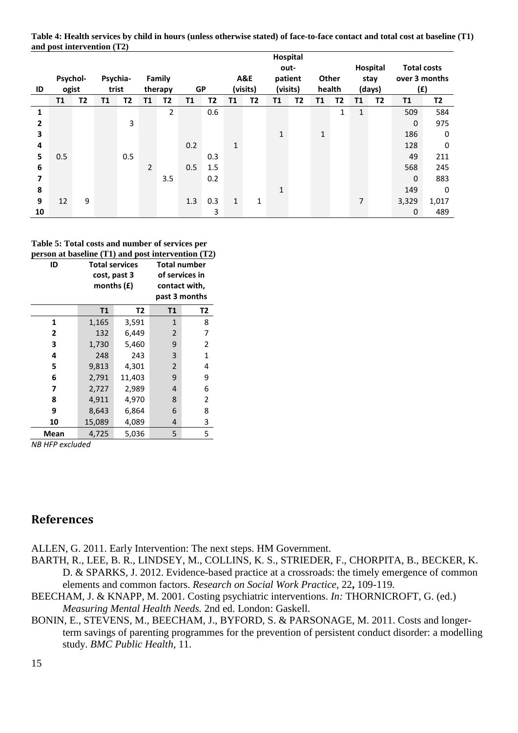**Table 4: Health services by child in hours (unless otherwise stated) of face-to-face contact and total cost at baseline (T1) and post intervention (T2)**

|                | Hospital  |    |          |     |                |                |           |     |              |          |              |    |              |    |              |                |                    |           |
|----------------|-----------|----|----------|-----|----------------|----------------|-----------|-----|--------------|----------|--------------|----|--------------|----|--------------|----------------|--------------------|-----------|
|                |           |    |          |     |                |                |           |     |              |          | out-         |    |              |    |              | Hospital       | <b>Total costs</b> |           |
|                | Psychol-  |    | Psychia- |     |                | Family         |           |     |              | A&E      | patient      |    | Other        |    |              | stay           | over 3 months      |           |
| ID             | ogist     |    | trist    |     |                | therapy        | <b>GP</b> |     |              | (visits) | (visits)     |    | health       |    |              | (days)         | (f)                |           |
|                | <b>T1</b> | Τ2 | Τ1       | T2  | <b>T1</b>      | Τ2             | T1        | Τ2  | T1           | Τ2       | T1           | T2 | Τ1           | T2 | <b>T1</b>    | T <sub>2</sub> | T1                 | <b>T2</b> |
| 1              |           |    |          |     |                | $\overline{2}$ |           | 0.6 |              |          |              |    |              | 1  | $\mathbf{1}$ |                | 509                | 584       |
| $\overline{2}$ |           |    |          | 3   |                |                |           |     |              |          |              |    |              |    |              |                | $\mathbf 0$        | 975       |
| 3              |           |    |          |     |                |                |           |     |              |          | $\mathbf 1$  |    | $\mathbf{1}$ |    |              |                | 186                | $\Omega$  |
| 4              |           |    |          |     |                |                | 0.2       |     | $\mathbf{1}$ |          |              |    |              |    |              |                | 128                | 0         |
| 5              | 0.5       |    |          | 0.5 |                |                |           | 0.3 |              |          |              |    |              |    |              |                | 49                 | 211       |
| 6              |           |    |          |     | $\overline{2}$ |                | 0.5       | 1.5 |              |          |              |    |              |    |              |                | 568                | 245       |
| 7              |           |    |          |     |                | 3.5            |           | 0.2 |              |          |              |    |              |    |              |                | $\mathbf 0$        | 883       |
| 8              |           |    |          |     |                |                |           |     |              |          | $\mathbf{1}$ |    |              |    |              |                | 149                | $\Omega$  |
| 9              | 12        | 9  |          |     |                |                | 1.3       | 0.3 | $\mathbf{1}$ | 1        |              |    |              |    | 7            |                | 3,329              | 1,017     |
| 10             |           |    |          |     |                |                |           | 3   |              |          |              |    |              |    |              |                | $\mathbf{0}$       | 489       |

**Table 5: Total costs and number of services per person at baseline (T1) and post intervention (T2)**

| ID   | <b>Total services</b><br>cost, past 3<br>months $(f)$ |        | <b>Total number</b><br>of services in<br>contact with, | past 3 months |
|------|-------------------------------------------------------|--------|--------------------------------------------------------|---------------|
|      | <b>T1</b>                                             | T2     | T1                                                     | Т2            |
| 1    | 1,165                                                 | 3,591  | $\mathbf{1}$                                           | 8             |
| 2    | 132                                                   | 6,449  | $\overline{2}$                                         | 7             |
| 3    | 1,730                                                 | 5,460  | 9                                                      | 2             |
| 4    | 248                                                   | 243    | 3                                                      | $\mathbf{1}$  |
| 5    | 9,813                                                 | 4,301  | $\overline{2}$                                         | 4             |
| 6    | 2,791                                                 | 11,403 | 9                                                      | 9             |
| 7    | 2,727                                                 | 2,989  | 4                                                      | 6             |
| 8    | 4,911                                                 | 4,970  | 8                                                      | 2             |
| 9    | 8,643                                                 | 6,864  | 6                                                      | 8             |
| 10   | 15,089                                                | 4,089  | 4                                                      | 3             |
| Mean | 4,725                                                 | 5,036  | 5                                                      | 5             |

*NB HFP excluded* 

# **References**

- <span id="page-16-0"></span>ALLEN, G. 2011. Early Intervention: The next steps. HM Government.
- <span id="page-16-3"></span>BARTH, R., LEE, B. R., LINDSEY, M., COLLINS, K. S., STRIEDER, F., CHORPITA, B., BECKER, K. D. & SPARKS, J. 2012. Evidence-based practice at a crossroads: the timely emergence of common elements and common factors. *Research on Social Work Practice,* 22**,** 109-119.
- <span id="page-16-2"></span>BEECHAM, J. & KNAPP, M. 2001. Costing psychiatric interventions. *In:* THORNICROFT, G. (ed.) *Measuring Mental Health Needs.* 2nd ed. London: Gaskell.
- <span id="page-16-1"></span>BONIN, E., STEVENS, M., BEECHAM, J., BYFORD, S. & PARSONAGE, M. 2011. Costs and longerterm savings of parenting programmes for the prevention of persistent conduct disorder: a modelling study. *BMC Public Health,* 11.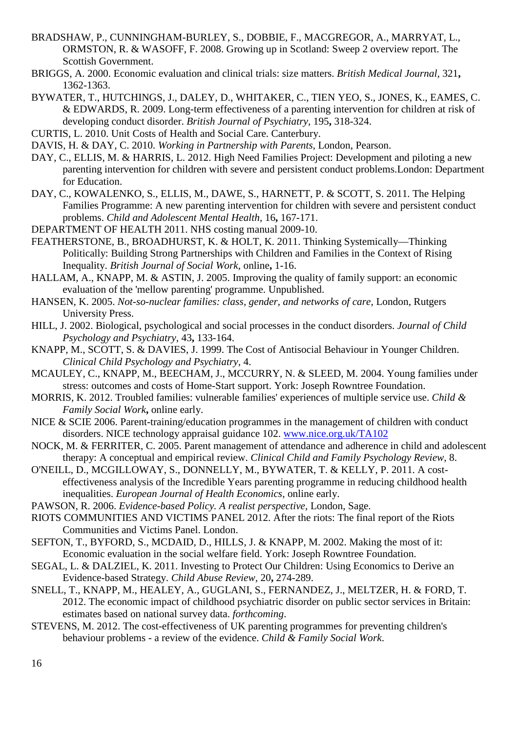- <span id="page-17-20"></span>BRADSHAW, P., CUNNINGHAM-BURLEY, S., DOBBIE, F., MACGREGOR, A., MARRYAT, L., ORMSTON, R. & WASOFF, F. 2008. Growing up in Scotland: Sweep 2 overview report. The Scottish Government.
- <span id="page-17-7"></span>BRIGGS, A. 2000. Economic evaluation and clinical trials: size matters. *British Medical Journal,* 321**,** 1362-1363.
- <span id="page-17-16"></span>BYWATER, T., HUTCHINGS, J., DALEY, D., WHITAKER, C., TIEN YEO, S., JONES, K., EAMES, C. & EDWARDS, R. 2009. Long-term effectiveness of a parenting intervention for children at risk of developing conduct disorder. *British Journal of Psychiatry,* 195**,** 318-324.
- <span id="page-17-12"></span>CURTIS, L. 2010. Unit Costs of Health and Social Care. Canterbury.

<span id="page-17-10"></span>DAVIS, H. & DAY, C. 2010. *Working in Partnership with Parents,* London, Pearson.

- <span id="page-17-9"></span>DAY, C., ELLIS, M. & HARRIS, L. 2012. High Need Families Project: Development and piloting a new parenting intervention for children with severe and persistent conduct problems.London: Department for Education.
- <span id="page-17-8"></span>DAY, C., KOWALENKO, S., ELLIS, M., DAWE, S., HARNETT, P. & SCOTT, S. 2011. The Helping Families Programme: A new parenting intervention for children with severe and persistent conduct problems. *Child and Adolescent Mental Health,* 16**,** 167-171.
- <span id="page-17-11"></span>DEPARTMENT OF HEALTH 2011. NHS costing manual 2009-10.
- <span id="page-17-3"></span>FEATHERSTONE, B., BROADHURST, K. & HOLT, K. 2011. Thinking Systemically—Thinking Politically: Building Strong Partnerships with Children and Families in the Context of Rising Inequality. *British Journal of Social Work,* online**,** 1-16.
- <span id="page-17-17"></span>HALLAM, A., KNAPP, M. & ASTIN, J. 2005. Improving the quality of family support: an economic evaluation of the 'mellow parenting' programme. Unpublished.
- <span id="page-17-23"></span>HANSEN, K. 2005. *Not-so-nuclear families: class, gender, and networks of care,* London, Rutgers University Press.
- <span id="page-17-15"></span>HILL, J. 2002. Biological, psychological and social processes in the conduct disorders. *Journal of Child Psychology and Psychiatry,* 43**,** 133-164.
- <span id="page-17-13"></span>KNAPP, M., SCOTT, S. & DAVIES, J. 1999. The Cost of Antisocial Behaviour in Younger Children. *Clinical Child Psychology and Psychiatry,* 4.
- <span id="page-17-21"></span>MCAULEY, C., KNAPP, M., BEECHAM, J., MCCURRY, N. & SLEED, M. 2004. Young families under stress: outcomes and costs of Home-Start support. York: Joseph Rowntree Foundation.
- <span id="page-17-18"></span>MORRIS, K. 2012. Troubled families: vulnerable families' experiences of multiple service use. *Child & Family Social Work***,** online early.
- <span id="page-17-2"></span>NICE & SCIE 2006. Parent-training/education programmes in the management of children with conduct disorders. NICE technology appraisal guidance 102. [www.nice.org.uk/TA102](http://www.nice.org.uk/TA102)
- <span id="page-17-19"></span>NOCK, M. & FERRITER, C. 2005. Parent management of attendance and adherence in child and adolescent therapy: A conceptual and empirical review. *Clinical Child and Family Psychology Review,* 8.
- <span id="page-17-1"></span>O'NEILL, D., MCGILLOWAY, S., DONNELLY, M., BYWATER, T. & KELLY, P. 2011. A costeffectiveness analysis of the Incredible Years parenting programme in reducing childhood health inequalities. *European Journal of Health Economics,* online early.
- <span id="page-17-5"></span>PAWSON, R. 2006. *Evidence-based Policy. A realist perspective,* London, Sage.
- <span id="page-17-0"></span>RIOTS COMMUNITIES AND VICTIMS PANEL 2012. After the riots: The final report of the Riots Communities and Victims Panel. London.
- <span id="page-17-22"></span>SEFTON, T., BYFORD, S., MCDAID, D., HILLS, J. & KNAPP, M. 2002. Making the most of it: Economic evaluation in the social welfare field. York: Joseph Rowntree Foundation.
- <span id="page-17-4"></span>SEGAL, L. & DALZIEL, K. 2011. Investing to Protect Our Children: Using Economics to Derive an Evidence-based Strategy. *Child Abuse Review,* 20**,** 274-289.
- <span id="page-17-14"></span>SNELL, T., KNAPP, M., HEALEY, A., GUGLANI, S., FERNANDEZ, J., MELTZER, H. & FORD, T. 2012. The economic impact of childhood psychiatric disorder on public sector services in Britain: estimates based on national survey data. *forthcoming*.
- <span id="page-17-6"></span>STEVENS, M. 2012. The cost-effectiveness of UK parenting programmes for preventing children's behaviour problems - a review of the evidence. *Child & Family Social Work*.